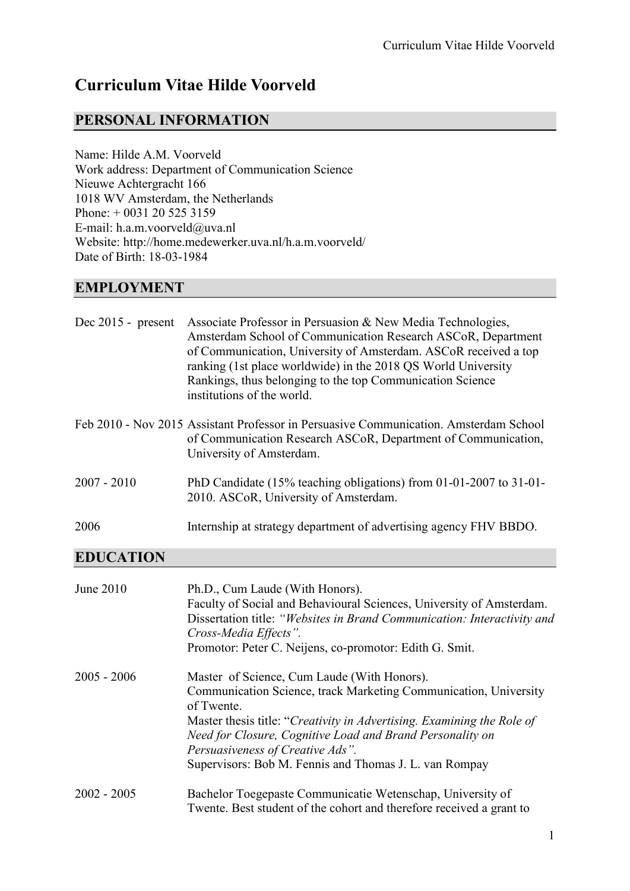# **Curriculum Vitae Hilde Voorveld**

# **PERSONAL INFORMATION**

Name: Hilde A.M. Voorveld Work address: Department of Communication Science Nieuwe Achtergracht 166 1018 WV Amsterdam, the Netherlands Phone: + 0031 20 525 3159 E-mail: h.a.m.voorveld@uva.nl Website: http://home.medewerker.uva.nl/h.a.m.voorveld/ Date of Birth: 18-03-1984

# **EMPLOYMENT**

| Dec $2015$ - present | Associate Professor in Persuasion & New Media Technologies,<br>Amsterdam School of Communication Research ASCoR, Department<br>of Communication, University of Amsterdam. ASCoR received a top<br>ranking (1st place worldwide) in the 2018 QS World University<br>Rankings, thus belonging to the top Communication Science<br>institutions of the world. |
|----------------------|------------------------------------------------------------------------------------------------------------------------------------------------------------------------------------------------------------------------------------------------------------------------------------------------------------------------------------------------------------|
|                      | Feb 2010 - Nov 2015 Assistant Professor in Persuasive Communication. Amsterdam School<br>of Communication Research ASCoR, Department of Communication,<br>University of Amsterdam.                                                                                                                                                                         |
| $2007 - 2010$        | PhD Candidate (15% teaching obligations) from 01-01-2007 to 31-01-<br>2010. ASCoR, University of Amsterdam.                                                                                                                                                                                                                                                |
| 2006                 | Internship at strategy department of advertising agency FHV BBDO.                                                                                                                                                                                                                                                                                          |

# **EDUCATION**

| June 2010     | Ph.D., Cum Laude (With Honors).<br>Faculty of Social and Behavioural Sciences, University of Amsterdam.<br>Dissertation title: "Websites in Brand Communication: Interactivity and<br>Cross-Media Effects".<br>Promotor: Peter C. Neijens, co-promotor: Edith G. Smit.                                                                                             |
|---------------|--------------------------------------------------------------------------------------------------------------------------------------------------------------------------------------------------------------------------------------------------------------------------------------------------------------------------------------------------------------------|
| $2005 - 2006$ | Master of Science, Cum Laude (With Honors).<br>Communication Science, track Marketing Communication, University<br>of Twente.<br>Master thesis title: "Creativity in Advertising. Examining the Role of<br>Need for Closure, Cognitive Load and Brand Personality on<br>Persuasiveness of Creative Ads".<br>Supervisors: Bob M. Fennis and Thomas J. L. van Rompay |
| $2002 - 2005$ | Bachelor Toegepaste Communicatie Wetenschap, University of<br>Twente. Best student of the cohort and therefore received a grant to                                                                                                                                                                                                                                 |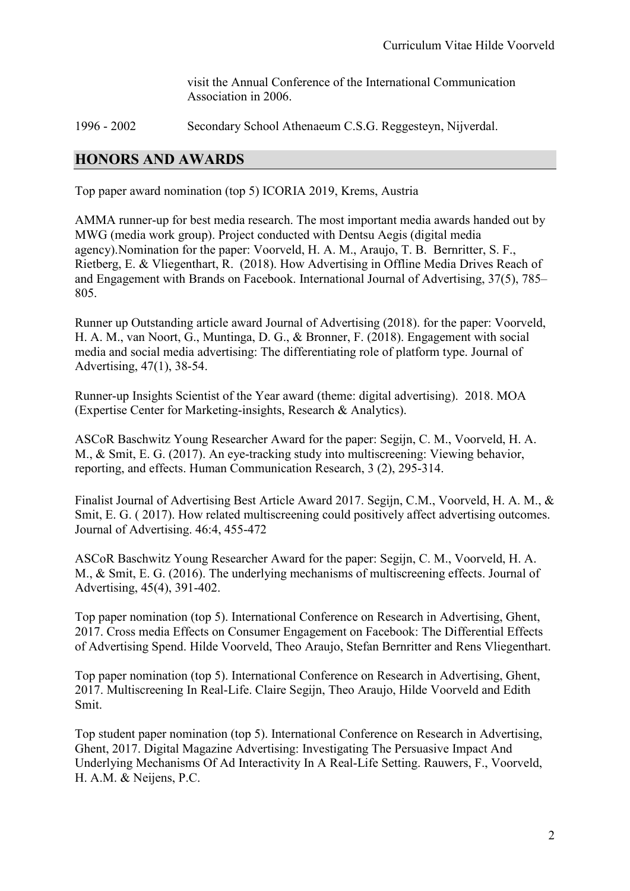visit the Annual Conference of the International Communication Association in 2006.

1996 - 2002 Secondary School Athenaeum C.S.G. Reggesteyn, Nijverdal.

#### **HONORS AND AWARDS**

Top paper award nomination (top 5) ICORIA 2019, Krems, Austria

AMMA runner-up for best media research. The most important media awards handed out by MWG (media work group). Project conducted with Dentsu Aegis (digital media agency).Nomination for the paper: Voorveld, H. A. M., Araujo, T. B. Bernritter, S. F., Rietberg, E. & Vliegenthart, R. (2018). How Advertising in Offline Media Drives Reach of and Engagement with Brands on Facebook. International Journal of Advertising, 37(5), 785– 805.

Runner up Outstanding article award Journal of Advertising (2018). for the paper: Voorveld, H. A. M., van Noort, G., Muntinga, D. G., & Bronner, F. (2018). Engagement with social media and social media advertising: The differentiating role of platform type. Journal of Advertising, 47(1), 38-54.

Runner-up Insights Scientist of the Year award (theme: digital advertising). 2018. MOA (Expertise Center for Marketing-insights, Research & Analytics).

ASCoR Baschwitz Young Researcher Award for the paper: Segijn, C. M., Voorveld, H. A. M., & Smit, E. G. (2017). An eye-tracking study into multiscreening: Viewing behavior, reporting, and effects. Human Communication Research, 3 (2), 295-314.

Finalist Journal of Advertising Best Article Award 2017. Segijn, C.M., Voorveld, H. A. M., & Smit, E. G. ( 2017). How related multiscreening could positively affect advertising outcomes. Journal of Advertising. 46:4, 455-472

ASCoR Baschwitz Young Researcher Award for the paper: Segijn, C. M., Voorveld, H. A. M., & Smit, E. G. (2016). The underlying mechanisms of multiscreening effects. Journal of Advertising, 45(4), 391-402.

Top paper nomination (top 5). International Conference on Research in Advertising, Ghent, 2017. Cross media Effects on Consumer Engagement on Facebook: The Differential Effects of Advertising Spend. Hilde Voorveld, Theo Araujo, Stefan Bernritter and Rens Vliegenthart.

Top paper nomination (top 5). International Conference on Research in Advertising, Ghent, 2017. Multiscreening In Real-Life. Claire Segijn, Theo Araujo, Hilde Voorveld and Edith Smit.

Top student paper nomination (top 5). International Conference on Research in Advertising, Ghent, 2017. Digital Magazine Advertising: Investigating The Persuasive Impact And Underlying Mechanisms Of Ad Interactivity In A Real-Life Setting. Rauwers, F., Voorveld, H. A.M. & Neijens, P.C.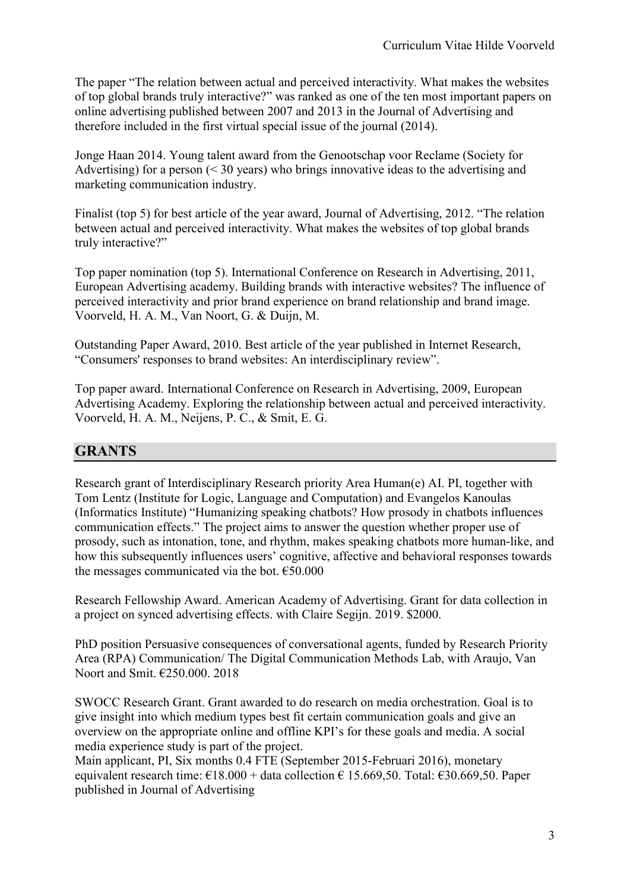The paper "The relation between actual and perceived interactivity. What makes the websites of top global brands truly interactive?" was ranked as one of the ten most important papers on online advertising published between 2007 and 2013 in the Journal of Advertising and therefore included in the first virtual special issue of the journal (2014).

Jonge Haan 2014. Young talent award from the Genootschap voor Reclame (Society for Advertising) for a person (< 30 years) who brings innovative ideas to the advertising and marketing communication industry.

Finalist (top 5) for best article of the year award, Journal of Advertising, 2012. "The relation between actual and perceived interactivity. What makes the websites of top global brands truly interactive?"

Top paper nomination (top 5). International Conference on Research in Advertising, 2011, European Advertising academy. Building brands with interactive websites? The influence of perceived interactivity and prior brand experience on brand relationship and brand image. Voorveld, H. A. M., Van Noort, G. & Duijn, M.

Outstanding Paper Award, 2010. Best article of the year published in Internet Research, "Consumers' responses to brand websites: An interdisciplinary review".

Top paper award. International Conference on Research in Advertising, 2009, European Advertising Academy. Exploring the relationship between actual and perceived interactivity. Voorveld, H. A. M., Neijens, P. C., & Smit, E. G.

## **GRANTS**

Research grant of Interdisciplinary Research priority Area Human(e) AI. PI, together with Tom Lentz (Institute for Logic, Language and Computation) and Evangelos Kanoulas (Informatics Institute) "Humanizing speaking chatbots? How prosody in chatbots influences communication effects." The project aims to answer the question whether proper use of prosody, such as intonation, tone, and rhythm, makes speaking chatbots more human-like, and how this subsequently influences users' cognitive, affective and behavioral responses towards the messages communicated via the bot.  $€50.000$ 

Research Fellowship Award. American Academy of Advertising. Grant for data collection in a project on synced advertising effects. with Claire Segijn. 2019. \$2000.

PhD position Persuasive consequences of conversational agents, funded by Research Priority Area (RPA) Communication/ The Digital Communication Methods Lab, with Araujo, Van Noort and Smit. €250.000. 2018

SWOCC Research Grant. Grant awarded to do research on media orchestration. Goal is to give insight into which medium types best fit certain communication goals and give an overview on the appropriate online and offline KPI's for these goals and media. A social media experience study is part of the project.

Main applicant, PI, Six months 0.4 FTE (September 2015-Februari 2016), monetary equivalent research time:  $\epsilon$ 18.000 + data collection  $\epsilon$  15.669,50. Total:  $\epsilon$ 30.669,50. Paper published in Journal of Advertising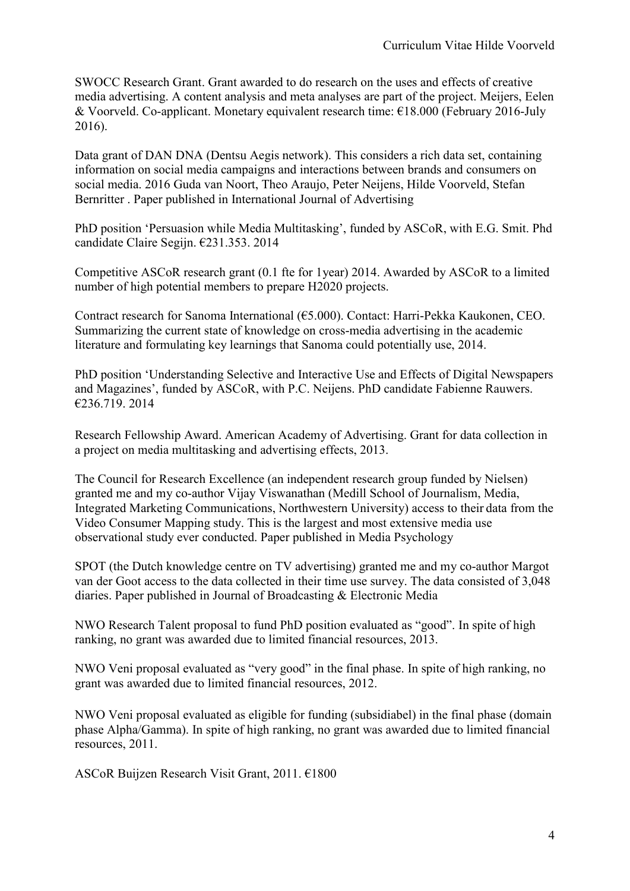SWOCC Research Grant. Grant awarded to do research on the uses and effects of creative media advertising. A content analysis and meta analyses are part of the project. Meijers, Eelen & Voorveld. Co-applicant. Monetary equivalent research time: €18.000 (February 2016-July 2016).

Data grant of DAN DNA (Dentsu Aegis network). This considers a rich data set, containing information on social media campaigns and interactions between brands and consumers on social media. 2016 Guda van Noort, Theo Araujo, Peter Neijens, Hilde Voorveld, Stefan Bernritter . Paper published in International Journal of Advertising

PhD position 'Persuasion while Media Multitasking', funded by ASCoR, with E.G. Smit. Phd candidate Claire Segijn. €231.353. 2014

Competitive ASCoR research grant (0.1 fte for 1year) 2014. Awarded by ASCoR to a limited number of high potential members to prepare H2020 projects.

Contract research for Sanoma International (€5.000). Contact: Harri-Pekka Kaukonen, CEO. Summarizing the current state of knowledge on cross-media advertising in the academic literature and formulating key learnings that Sanoma could potentially use, 2014.

PhD position 'Understanding Selective and Interactive Use and Effects of Digital Newspapers and Magazines', funded by ASCoR, with P.C. Neijens. PhD candidate Fabienne Rauwers. €236.719. 2014

Research Fellowship Award. American Academy of Advertising. Grant for data collection in a project on media multitasking and advertising effects, 2013.

The Council for Research Excellence (an independent research group funded by Nielsen) granted me and my co-author Vijay Viswanathan (Medill School of Journalism, Media, Integrated Marketing Communications, Northwestern University) access to their data from the Video Consumer Mapping study. This is the largest and most extensive media use observational study ever conducted. Paper published in Media Psychology

SPOT (the Dutch knowledge centre on TV advertising) granted me and my co-author Margot van der Goot access to the data collected in their time use survey. The data consisted of 3,048 diaries. Paper published in Journal of Broadcasting & Electronic Media

NWO Research Talent proposal to fund PhD position evaluated as "good". In spite of high ranking, no grant was awarded due to limited financial resources, 2013.

NWO Veni proposal evaluated as "very good" in the final phase. In spite of high ranking, no grant was awarded due to limited financial resources, 2012.

NWO Veni proposal evaluated as eligible for funding (subsidiabel) in the final phase (domain phase Alpha/Gamma). In spite of high ranking, no grant was awarded due to limited financial resources, 2011.

ASCoR Buijzen Research Visit Grant, 2011. €1800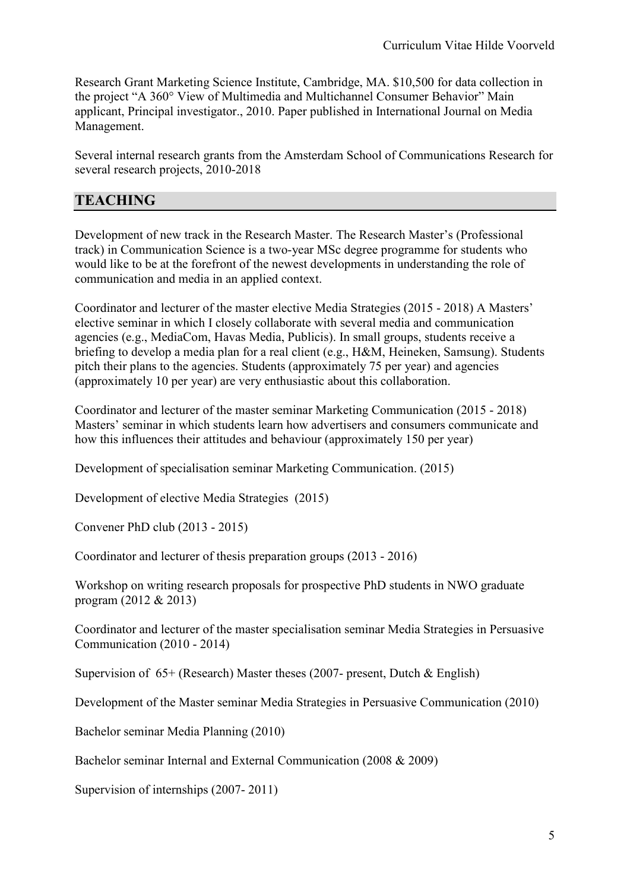Research Grant Marketing Science Institute, Cambridge, MA. \$10,500 for data collection in the project "A 360° View of Multimedia and Multichannel Consumer Behavior" Main applicant, Principal investigator., 2010. Paper published in International Journal on Media Management.

Several internal research grants from the Amsterdam School of Communications Research for several research projects, 2010-2018

## **TEACHING**

Development of new track in the Research Master. The Research Master's (Professional track) in Communication Science is a two-year MSc degree programme for students who would like to be at the forefront of the newest developments in understanding the role of communication and media in an applied context.

Coordinator and lecturer of the master elective Media Strategies (2015 - 2018) A Masters' elective seminar in which I closely collaborate with several media and communication agencies (e.g., MediaCom, Havas Media, Publicis). In small groups, students receive a briefing to develop a media plan for a real client (e.g., H&M, Heineken, Samsung). Students pitch their plans to the agencies. Students (approximately 75 per year) and agencies (approximately 10 per year) are very enthusiastic about this collaboration.

Coordinator and lecturer of the master seminar Marketing Communication (2015 - 2018) Masters' seminar in which students learn how advertisers and consumers communicate and how this influences their attitudes and behaviour (approximately 150 per year)

Development of specialisation seminar Marketing Communication. (2015)

Development of elective Media Strategies (2015)

Convener PhD club (2013 - 2015)

Coordinator and lecturer of thesis preparation groups (2013 - 2016)

Workshop on writing research proposals for prospective PhD students in NWO graduate program (2012 & 2013)

Coordinator and lecturer of the master specialisation seminar Media Strategies in Persuasive Communication (2010 - 2014)

Supervision of 65+ (Research) Master theses (2007- present, Dutch & English)

Development of the Master seminar Media Strategies in Persuasive Communication (2010)

Bachelor seminar Media Planning (2010)

Bachelor seminar Internal and External Communication (2008 & 2009)

Supervision of internships (2007- 2011)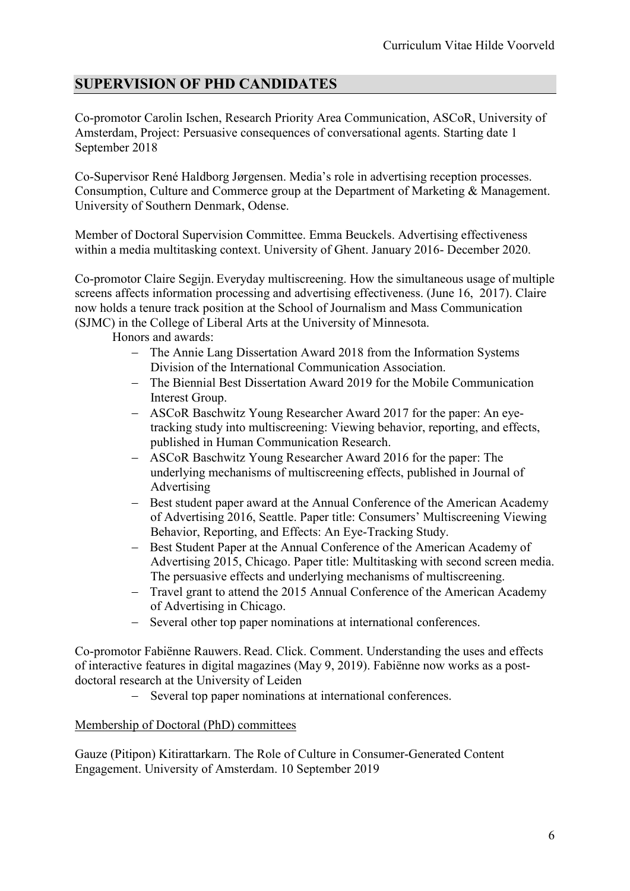# **SUPERVISION OF PHD CANDIDATES**

Co-promotor Carolin Ischen, Research Priority Area Communication, ASCoR, University of Amsterdam, Project: Persuasive consequences of conversational agents. Starting date 1 September 2018

Co-Supervisor René Haldborg Jørgensen. Media's role in advertising reception processes. Consumption, Culture and Commerce group at the Department of Marketing & Management. University of Southern Denmark, Odense.

Member of Doctoral Supervision Committee. Emma Beuckels. Advertising effectiveness within a media multitasking context. University of Ghent. January 2016- December 2020.

Co-promotor Claire Segijn. Everyday multiscreening. How the simultaneous usage of multiple screens affects information processing and advertising effectiveness. (June 16, 2017). Claire now holds a tenure track position at the School of Journalism and Mass Communication (SJMC) in the College of Liberal Arts at the University of Minnesota.

Honors and awards:

- − The Annie Lang Dissertation Award 2018 from the Information Systems Division of the International Communication Association.
- − The Biennial Best Dissertation Award 2019 for the Mobile Communication Interest Group.
- − ASCoR Baschwitz Young Researcher Award 2017 for the paper: An eyetracking study into multiscreening: Viewing behavior, reporting, and effects, published in Human Communication Research.
- − ASCoR Baschwitz Young Researcher Award 2016 for the paper: The underlying mechanisms of multiscreening effects, published in Journal of Advertising
- − Best student paper award at the Annual Conference of the American Academy of Advertising 2016, Seattle. Paper title: Consumers' Multiscreening Viewing Behavior, Reporting, and Effects: An Eye-Tracking Study.
- − Best Student Paper at the Annual Conference of the American Academy of Advertising 2015, Chicago. Paper title: Multitasking with second screen media. The persuasive effects and underlying mechanisms of multiscreening.
- − Travel grant to attend the 2015 Annual Conference of the American Academy of Advertising in Chicago.
- − Several other top paper nominations at international conferences.

Co-promotor Fabiënne Rauwers. Read. Click. Comment. Understanding the uses and effects of interactive features in digital magazines (May 9, 2019). Fabiënne now works as a postdoctoral research at the University of Leiden

− Several top paper nominations at international conferences.

#### Membership of Doctoral (PhD) committees

Gauze (Pitipon) Kitirattarkarn. The Role of Culture in Consumer-Generated Content Engagement. University of Amsterdam. 10 September 2019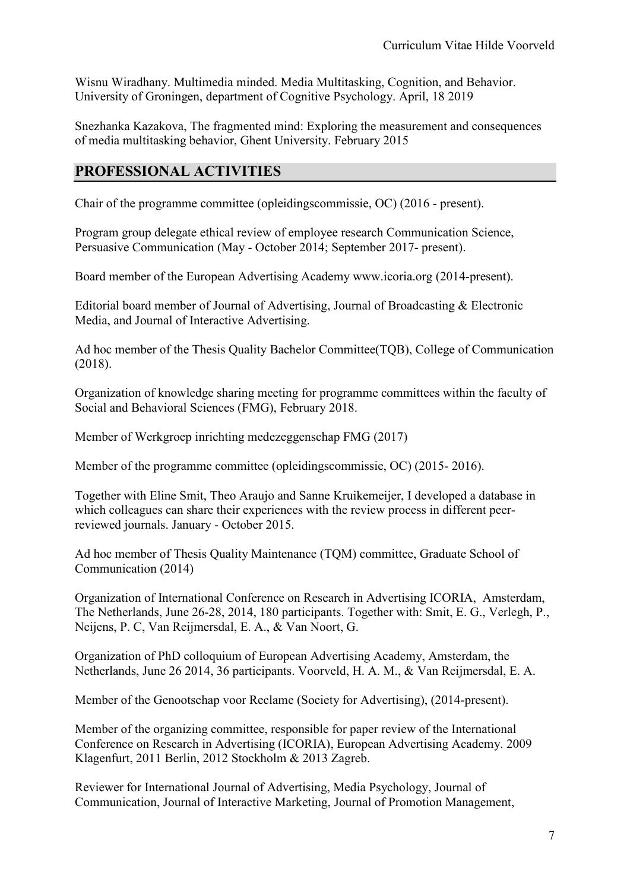Wisnu Wiradhany. Multimedia minded. Media Multitasking, Cognition, and Behavior. University of Groningen, department of Cognitive Psychology. April, 18 2019

Snezhanka Kazakova, The fragmented mind: Exploring the measurement and consequences of media multitasking behavior, Ghent University. February 2015

## **PROFESSIONAL ACTIVITIES**

Chair of the programme committee (opleidingscommissie, OC) (2016 - present).

Program group delegate ethical review of employee research Communication Science, Persuasive Communication (May - October 2014; September 2017- present).

Board member of the European Advertising Academy www.icoria.org (2014-present).

Editorial board member of Journal of Advertising, Journal of Broadcasting & Electronic Media, and Journal of Interactive Advertising.

Ad hoc member of the Thesis Quality Bachelor Committee(TQB), College of Communication (2018).

Organization of knowledge sharing meeting for programme committees within the faculty of Social and Behavioral Sciences (FMG), February 2018.

Member of Werkgroep inrichting medezeggenschap FMG (2017)

Member of the programme committee (opleidingscommissie, OC) (2015- 2016).

Together with Eline Smit, Theo Araujo and Sanne Kruikemeijer, I developed a database in which colleagues can share their experiences with the review process in different peerreviewed journals. January - October 2015.

Ad hoc member of Thesis Quality Maintenance (TQM) committee, Graduate School of Communication (2014)

Organization of International Conference on Research in Advertising ICORIA, Amsterdam, The Netherlands, June 26-28, 2014, 180 participants. Together with: Smit, E. G., Verlegh, P., Neijens, P. C, Van Reijmersdal, E. A., & Van Noort, G.

Organization of PhD colloquium of European Advertising Academy, Amsterdam, the Netherlands, June 26 2014, 36 participants. Voorveld, H. A. M., & Van Reijmersdal, E. A.

Member of the Genootschap voor Reclame (Society for Advertising), (2014-present).

Member of the organizing committee, responsible for paper review of the International Conference on Research in Advertising (ICORIA), European Advertising Academy. 2009 Klagenfurt, 2011 Berlin, 2012 Stockholm & 2013 Zagreb.

Reviewer for International Journal of Advertising, Media Psychology, Journal of Communication, Journal of Interactive Marketing, Journal of Promotion Management,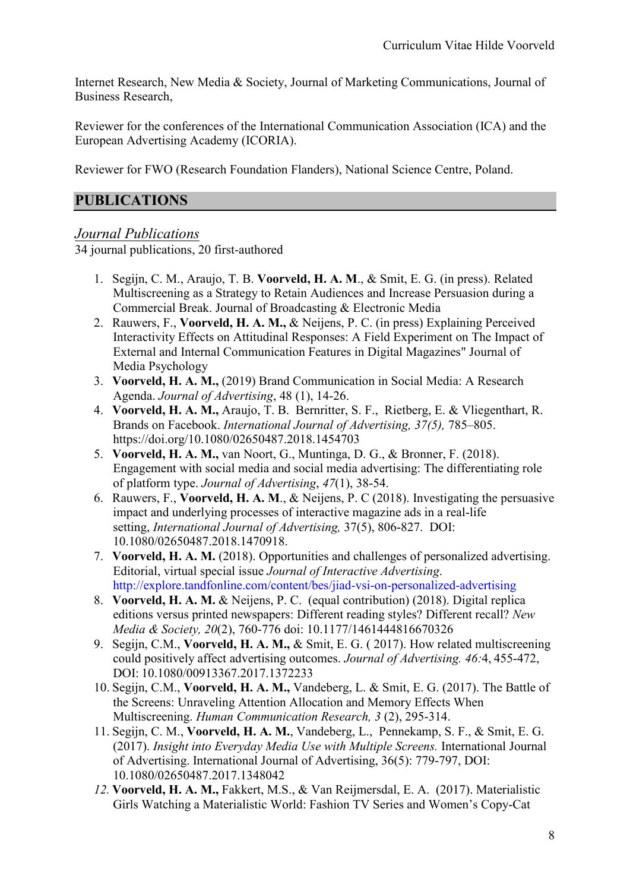Internet Research, New Media & Society, Journal of Marketing Communications, Journal of Business Research,

Reviewer for the conferences of the International Communication Association (ICA) and the European Advertising Academy (ICORIA).

Reviewer for FWO (Research Foundation Flanders), National Science Centre, Poland.

## **PUBLICATIONS**

#### *Journal Publications*

34 journal publications, 20 first-authored

- 1. Segijn, C. M., Araujo, T. B. **Voorveld, H. A. M**., & Smit, E. G. (in press). Related Multiscreening as a Strategy to Retain Audiences and Increase Persuasion during a Commercial Break. Journal of Broadcasting & Electronic Media
- 2. Rauwers, F., **Voorveld, H. A. M.,** & Neijens, P. C. (in press) Explaining Perceived Interactivity Effects on Attitudinal Responses: A Field Experiment on The Impact of External and Internal Communication Features in Digital Magazines" Journal of Media Psychology
- 3. **Voorveld, H. A. M.,** (2019) Brand Communication in Social Media: A Research Agenda. *Journal of Advertising*, 48 (1), 14-26.
- 4. **Voorveld, H. A. M.,** Araujo, T. B. Bernritter, S. F., Rietberg, E. & Vliegenthart, R. Brands on Facebook. *International Journal of Advertising, 37(5),* 785–805. https://doi.org/10.1080/02650487.2018.1454703
- 5. **Voorveld, H. A. M.,** van Noort, G., Muntinga, D. G., & Bronner, F. (2018). Engagement with social media and social media advertising: The differentiating role of platform type. *Journal of Advertising*, *47*(1), 38-54.
- 6. Rauwers, F., **Voorveld, H. A. M**., & Neijens, P. C (2018). Investigating the persuasive impact and underlying processes of interactive magazine ads in a real-life setting, *International Journal of Advertising,* 37(5), 806-827. DOI: 10.1080/02650487.2018.1470918.
- 7. **Voorveld, H. A. M.** (2018). Opportunities and challenges of personalized advertising. Editorial, virtual special issue *Journal of Interactive Advertising*. <http://explore.tandfonline.com/content/bes/jiad-vsi-on-personalized-advertising>
- 8. **Voorveld, H. A. M.** & Neijens, P. C. (equal contribution) (2018). Digital replica editions versus printed newspapers: Different reading styles? Different recall? *New Media & Society, 20*(2), 760-776 doi: 10.1177/1461444816670326
- 9. Segiin, C.M., **Voorveld, H. A. M., & Smit, E. G. (2017). How related multiscreening** could positively affect advertising outcomes. *Journal of Advertising. 46:*4, 455-472, DOI: 10.1080/00913367.2017.1372233
- 10. Segijn, C.M., **Voorveld, H. A. M.,** Vandeberg, L. & Smit, E. G. (2017). The Battle of the Screens: Unraveling Attention Allocation and Memory Effects When Multiscreening. *Human Communication Research, 3* (2), 295-314.
- 11. Segijn, C. M., **Voorveld, H. A. M.**, Vandeberg, L., Pennekamp, S. F., & Smit, E. G. (2017). *Insight into Everyday Media Use with Multiple Screens.* International Journal of Advertising. International Journal of Advertising, 36(5): 779-797, DOI: 10.1080/02650487.2017.1348042
- *12.* **Voorveld, H. A. M.,** Fakkert, M.S., & Van Reijmersdal, E. A. (2017). Materialistic Girls Watching a Materialistic World: Fashion TV Series and Women's Copy-Cat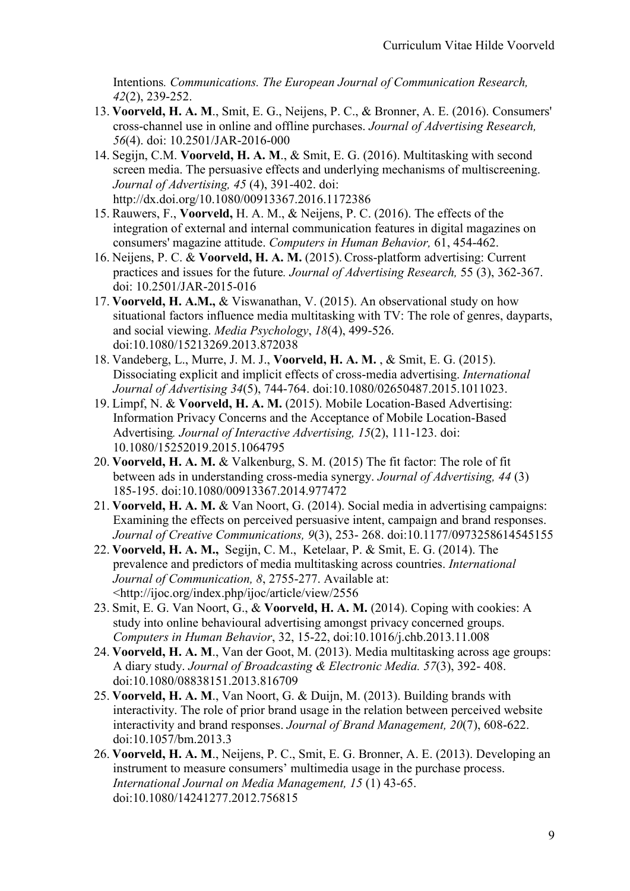Intentions*. Communications. The European Journal of Communication Research, 42*(2), 239-252.

- 13. **Voorveld, H. A. M**., Smit, E. G., Neijens, P. C., & Bronner, A. E. (2016). Consumers' cross-channel use in online and offline purchases. *Journal of Advertising Research, 56*(4). doi: 10.2501/JAR-2016-000
- 14. Segijn, C.M. **Voorveld, H. A. M**., & Smit, E. G. (2016). Multitasking with second screen media. The persuasive effects and underlying mechanisms of multiscreening. *Journal of Advertising, 45* (4), 391-402. doi: http://dx.doi.org/10.1080/00913367.2016.1172386
- 15. Rauwers, F., **Voorveld,** H. A. M., & Neijens, P. C. (2016). The effects of the integration of external and internal communication features in digital magazines on consumers' magazine attitude. *Computers in Human Behavior,* 61, 454-462.
- 16. Neijens, P. C. & **Voorveld, H. A. M.** (2015). Cross-platform advertising: Current practices and issues for the future*. Journal of Advertising Research,* 55 (3), 362-367. doi: 10.2501/JAR-2015-016
- 17. **Voorveld, H. A.M.,** & Viswanathan, V. (2015). An observational study on how situational factors influence media multitasking with TV: The role of genres, dayparts, and social viewing. *Media Psychology*, *18*(4), 499-526. doi:10.1080/15213269.2013.872038
- 18. Vandeberg, L., Murre, J. M. J., **Voorveld, H. A. M.** , & Smit, E. G. (2015). Dissociating explicit and implicit effects of cross-media advertising. *International Journal of Advertising 34*(5), 744-764. doi:10.1080/02650487.2015.1011023.
- 19. Limpf, N. & **Voorveld, H. A. M.** (2015). Mobile Location-Based Advertising: Information Privacy Concerns and the Acceptance of Mobile Location-Based Advertising*. Journal of Interactive Advertising, 15*(2), 111-123. doi: 10.1080/15252019.2015.1064795
- 20. **Voorveld, H. A. M.** & Valkenburg, S. M. (2015) The fit factor: The role of fit between ads in understanding cross-media synergy. *Journal of Advertising, 44* (3) 185-195. doi:10.1080/00913367.2014.977472
- 21. **Voorveld, H. A. M.** & Van Noort, G. (2014). Social media in advertising campaigns: Examining the effects on perceived persuasive intent, campaign and brand responses. *Journal of Creative Communications, 9*(3), 253- 268. doi:10.1177/0973258614545155
- 22. **Voorveld, H. A. M.,** Segijn, C. M., Ketelaar, P. & Smit, E. G. (2014). The prevalence and predictors of media multitasking across countries. *International Journal of Communication, 8*, 2755-277. Available at: <http://ijoc.org/index.php/ijoc/article/view/2556
- 23. Smit, E. G. Van Noort, G., & **Voorveld, H. A. M.** (2014). Coping with cookies: A study into online behavioural advertising amongst privacy concerned groups. *Computers in Human Behavior*, 32, 15-22, doi:10.1016/j.chb.2013.11.008
- 24. **Voorveld, H. A. M**., Van der Goot, M. (2013). Media multitasking across age groups: A diary study. *Journal of Broadcasting & Electronic Media. 57*(3), 392- 408. doi:10.1080/08838151.2013.816709
- 25. **Voorveld, H. A. M**., Van Noort, G. & Duijn, M. (2013). Building brands with interactivity. The role of prior brand usage in the relation between perceived website interactivity and brand responses. *Journal of Brand Management, 20*(7), 608-622. doi:10.1057/bm.2013.3
- 26. **Voorveld, H. A. M**., Neijens, P. C., Smit, E. G. Bronner, A. E. (2013). Developing an instrument to measure consumers' multimedia usage in the purchase process. *International Journal on Media Management, 15* (1) 43-65. doi:10.1080/14241277.2012.756815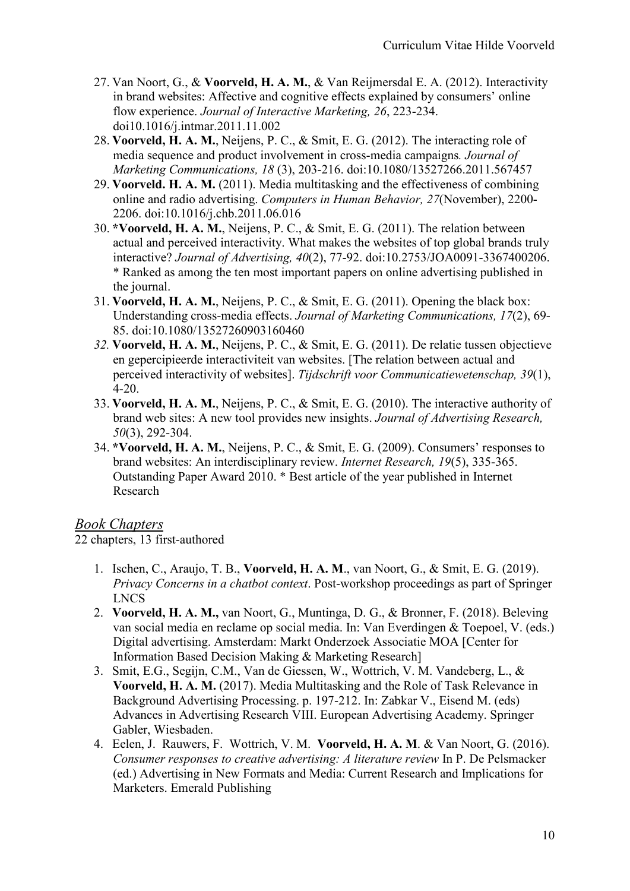- 27. Van Noort, G., & **Voorveld, H. A. M.**, & Van Reijmersdal E. A. (2012). Interactivity in brand websites: Affective and cognitive effects explained by consumers' online flow experience. *Journal of Interactive Marketing, 26*, 223-234. doi10.1016/j.intmar.2011.11.002
- 28. **Voorveld, H. A. M.**, Neijens, P. C., & Smit, E. G. (2012). The interacting role of media sequence and product involvement in cross-media campaigns*. Journal of Marketing Communications, 18* (3), 203-216. [doi:10.1080/13527266.2011.567457](http://dx.doi.org/10.1080/13527266.2011.567457)
- 29. **Voorveld. H. A. M.** (2011). Media multitasking and the effectiveness of combining online and radio advertising. *Computers in Human Behavior, 27*(November), 2200- 2206. doi:10.1016/j.chb.2011.06.016
- 30. **\*Voorveld, H. A. M.**, Neijens, P. C., & Smit, E. G. (2011). The relation between actual and perceived interactivity. What makes the websites of top global brands truly interactive? *Journal of Advertising, 40*(2), 77-92. doi:10.2753/JOA0091-3367400206. \* Ranked as among the ten most important papers on online advertising published in the journal.
- 31. **Voorveld, H. A. M.**, Neijens, P. C., & Smit, E. G. (2011). Opening the black box: Understanding cross-media effects. *Journal of Marketing Communications, 17*(2), 69- 85. doi:10.1080/13527260903160460
- *32.* **Voorveld, H. A. M.**, Neijens, P. C., & Smit, E. G. (2011). De relatie tussen objectieve en gepercipieerde interactiviteit van websites. [The relation between actual and perceived interactivity of websites]. *Tijdschrift voor Communicatiewetenschap, 39*(1), 4-20.
- 33. **Voorveld, H. A. M.**, Neijens, P. C., & Smit, E. G. (2010). The interactive authority of brand web sites: A new tool provides new insights. *Journal of Advertising Research, 50*(3), 292-304.
- 34. **\*Voorveld, H. A. M.**, Neijens, P. C., & Smit, E. G. (2009). Consumers' responses to brand websites: An interdisciplinary review. *Internet Research, 19*(5), 335-365. Outstanding Paper Award 2010. \* Best article of the year published in Internet Research

#### *Book Chapters*

22 chapters, 13 first-authored

- 1. Ischen, C., Araujo, T. B., **Voorveld, H. A. M**., van Noort, G., & Smit, E. G. (2019). *Privacy Concerns in a chatbot context*. Post-workshop proceedings as part of Springer LNCS
- 2. **Voorveld, H. A. M.,** van Noort, G., Muntinga, D. G., & Bronner, F. (2018). Beleving van social media en reclame op social media. In: Van Everdingen & Toepoel, V. (eds.) Digital advertising. Amsterdam: Markt Onderzoek Associatie MOA [Center for Information Based Decision Making & Marketing Research]
- 3. Smit, E.G., Segijn, C.M., Van de Giessen, W., Wottrich, V. M. Vandeberg, L., & **Voorveld, H. A. M.** (2017). Media Multitasking and the Role of Task Relevance in Background Advertising Processing. p. 197-212. In: Zabkar V., Eisend M. (eds) Advances in Advertising Research VIII. European Advertising Academy. Springer Gabler, Wiesbaden.
- 4. Eelen, J. Rauwers, F. Wottrich, V. M. **Voorveld, H. A. M**. & Van Noort, G. (2016). *Consumer responses to creative advertising: A literature review* In P. De Pelsmacker (ed.) Advertising in New Formats and Media: Current Research and Implications for Marketers. Emerald Publishing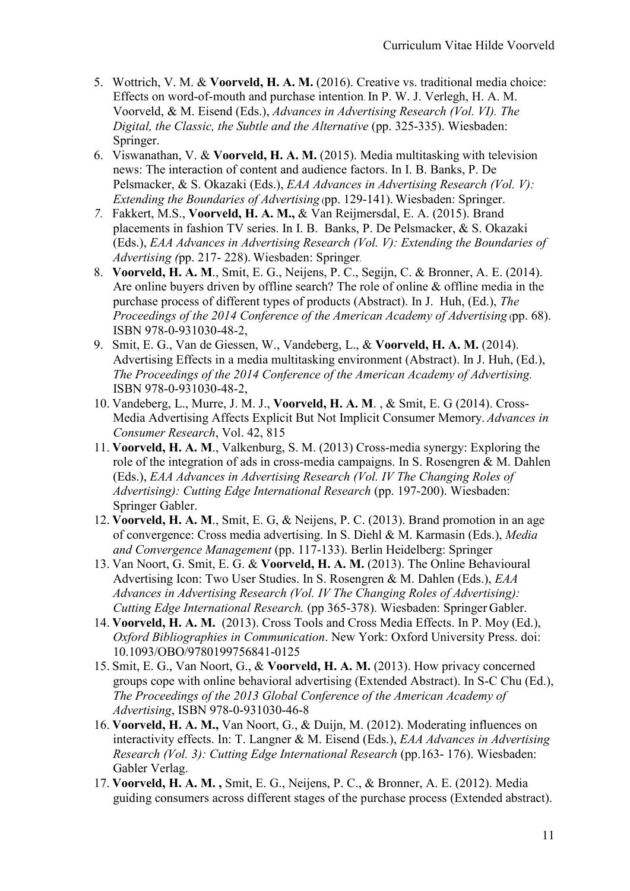- 5. Wottrich, V. M. & **Voorveld, H. A. M.** (2016). Creative vs. traditional media choice: Effects on word-of-mouth and purchase intention. In P. W. J. Verlegh, H. A. M. Voorveld, & M. Eisend (Eds.), *Advances in Advertising Research (Vol. VI). The Digital, the Classic, the Subtle and the Alternative* (pp. 325-335). Wiesbaden: Springer.
- 6. Viswanathan, V. & **Voorveld, H. A. M.** (2015). Media multitasking with television news: The interaction of content and audience factors. In I. B. Banks, P. De Pelsmacker, & S. Okazaki (Eds.), *EAA Advances in Advertising Research (Vol. V): Extending the Boundaries of Advertising* (pp. 129-141). Wiesbaden: Springer.
- *7.* Fakkert, M.S., **Voorveld, H. A. M.,** & Van Reijmersdal, E. A. (2015). Brand placements in fashion TV series. In I. B. Banks, P. De Pelsmacker, & S. Okazaki (Eds.), *EAA Advances in Advertising Research (Vol. V): Extending the Boundaries of Advertising (*pp. 217- 228). Wiesbaden: Springer.
- 8. **Voorveld, H. A. M**., Smit, E. G., Neijens, P. C., Segijn, C. & Bronner, A. E. (2014). Are online buyers driven by offline search? The role of online & offline media in the purchase process of different types of products (Abstract). In J. Huh, (Ed.), *The Proceedings of the 2014 Conference of the American Academy of Advertising* (pp. 68). ISBN 978-0-931030-48-2,
- 9. Smit, E. G., Van de Giessen, W., Vandeberg, L., & **Voorveld, H. A. M.** (2014). Advertising Effects in a media multitasking environment (Abstract). In J. Huh, (Ed.), *The Proceedings of the 2014 Conference of the American Academy of Advertising.* ISBN 978-0-931030-48-2,
- 10. Vandeberg, L., Murre, J. M. J., **Voorveld, H. A. M**. , & Smit, E. G (2014). Cross-Media Advertising Affects Explicit But Not Implicit Consumer Memory. *Advances in Consumer Research*, Vol. 42, 815
- 11. **Voorveld, H. A. M**., Valkenburg, S. M. (2013) Cross-media synergy: Exploring the role of the integration of ads in cross-media campaigns. In S. Rosengren & M. Dahlen (Eds.), *EAA Advances in Advertising Research (Vol. IV The Changing Roles of Advertising): Cutting Edge International Research (pp. 197-200). Wiesbaden:* Springer Gabler.
- 12. **Voorveld, H. A. M**., Smit, E. G, & Neijens, P. C. (2013). Brand promotion in an age of convergence: Cross media advertising. In S. Diehl & M. Karmasin (Eds.), *Media and Convergence Management* (pp. 117-133). Berlin Heidelberg: Springer
- 13. Van Noort, G. Smit, E. G. & **Voorveld, H. A. M.** (2013). The Online Behavioural Advertising Icon: Two User Studies. In S. Rosengren & M. Dahlen (Eds.), *EAA Advances in Advertising Research (Vol. IV The Changing Roles of Advertising): Cutting Edge International Research.* (pp 365-378). Wiesbaden: Springer Gabler.
- 14. **Voorveld, H. A. M.** (2013). Cross Tools and Cross Media Effects. In P. Moy (Ed.), *Oxford Bibliographies in Communication*. New York: Oxford University Press. doi: 10.1093/OBO/9780199756841-0125
- 15. Smit, E. G., Van Noort, G., & **Voorveld, H. A. M.** (2013). How privacy concerned groups cope with online behavioral advertising (Extended Abstract). In S-C Chu (Ed.), *The Proceedings of the 2013 Global Conference of the American Academy of Advertising*, ISBN 978-0-931030-46-8
- 16. **Voorveld, H. A. M.,** Van Noort, G., & Duijn, M. (2012). Moderating influences on interactivity effects. In: T. Langner & M. Eisend (Eds.), *EAA Advances in Advertising Research (Vol. 3): Cutting Edge International Research* (pp.163- 176). Wiesbaden: Gabler Verlag.
- 17. **Voorveld, H. A. M. ,** Smit, E. G., Neijens, P. C., & Bronner, A. E. (2012). Media guiding consumers across different stages of the purchase process (Extended abstract).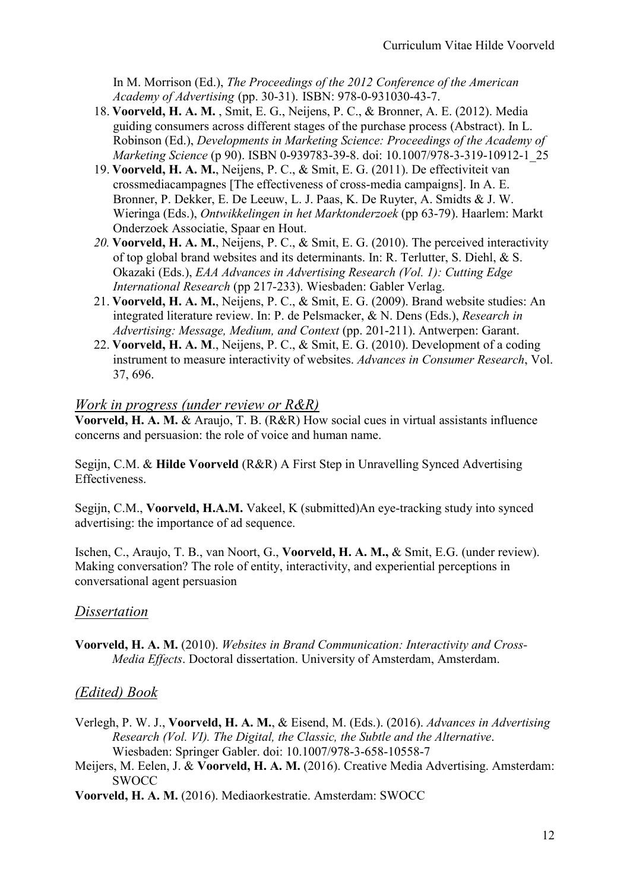In M. Morrison (Ed.), *The Proceedings of the 2012 Conference of the American Academy of Advertising* (pp. 30-31). ISBN: 978-0-931030-43-7.

- 18. **Voorveld, H. A. M.** , Smit, E. G., Neijens, P. C., & Bronner, A. E. (2012). Media guiding consumers across different stages of the purchase process (Abstract). In L. Robinson (Ed.), *Developments in Marketing Science: Proceedings of the Academy of Marketing Science* (p 90). ISBN 0-939783-39-8. doi: 10.1007/978-3-319-10912-1\_25
- 19. **Voorveld, H. A. M.**, Neijens, P. C., & Smit, E. G. (2011). De effectiviteit van crossmediacampagnes [The effectiveness of cross-media campaigns]. In A. E. Bronner, P. Dekker, E. De Leeuw, L. J. Paas, K. De Ruyter, A. Smidts & J. W. Wieringa (Eds.), *Ontwikkelingen in het Marktonderzoek* (pp 63-79). Haarlem: Markt Onderzoek Associatie, Spaar en Hout.
- *20.* **Voorveld, H. A. M.**, Neijens, P. C., & Smit, E. G. (2010). The perceived interactivity of top global brand websites and its determinants. In: R. Terlutter, S. Diehl, & S. Okazaki (Eds.), *EAA Advances in Advertising Research (Vol. 1): Cutting Edge International Research* (pp 217-233). Wiesbaden: Gabler Verlag.
- 21. **Voorveld, H. A. M.**, Neijens, P. C., & Smit, E. G. (2009). Brand website studies: An integrated literature review. In: P. de Pelsmacker, & N. Dens (Eds.), *Research in Advertising: Message, Medium, and Context* (pp. 201-211). Antwerpen: Garant.
- 22. **Voorveld, H. A. M**., Neijens, P. C., & Smit, E. G. (2010). Development of a coding instrument to measure interactivity of websites. *Advances in Consumer Research*, Vol. 37, 696.

#### *Work in progress (under review or R&R)*

**Voorveld, H. A. M.** & Araujo, T. B. (R&R) How social cues in virtual assistants influence concerns and persuasion: the role of voice and human name.

Segijn, C.M. & **Hilde Voorveld** (R&R) A First Step in Unravelling Synced Advertising Effectiveness.

Segijn, C.M., **Voorveld, H.A.M.** Vakeel, K (submitted)An eye-tracking study into synced advertising: the importance of ad sequence.

Ischen, C., Araujo, T. B., van Noort, G., **Voorveld, H. A. M.,** & Smit, E.G. (under review). Making conversation? The role of entity, interactivity, and experiential perceptions in conversational agent persuasion

#### *Dissertation*

**Voorveld, H. A. M.** (2010). *Websites in Brand Communication: Interactivity and Cross-Media Effects*. Doctoral dissertation. University of Amsterdam, Amsterdam.

# *(Edited) Book*

- Verlegh, P. W. J., **Voorveld, H. A. M.**, & Eisend, M. (Eds.). (2016). *Advances in Advertising Research (Vol. VI). The Digital, the Classic, the Subtle and the Alternative*. Wiesbaden: Springer Gabler. doi: 10.1007/978-3-658-10558-7
- Meijers, M. Eelen, J. & **Voorveld, H. A. M.** (2016). Creative Media Advertising. Amsterdam: **SWOCC**

**Voorveld, H. A. M.** (2016). Mediaorkestratie. Amsterdam: SWOCC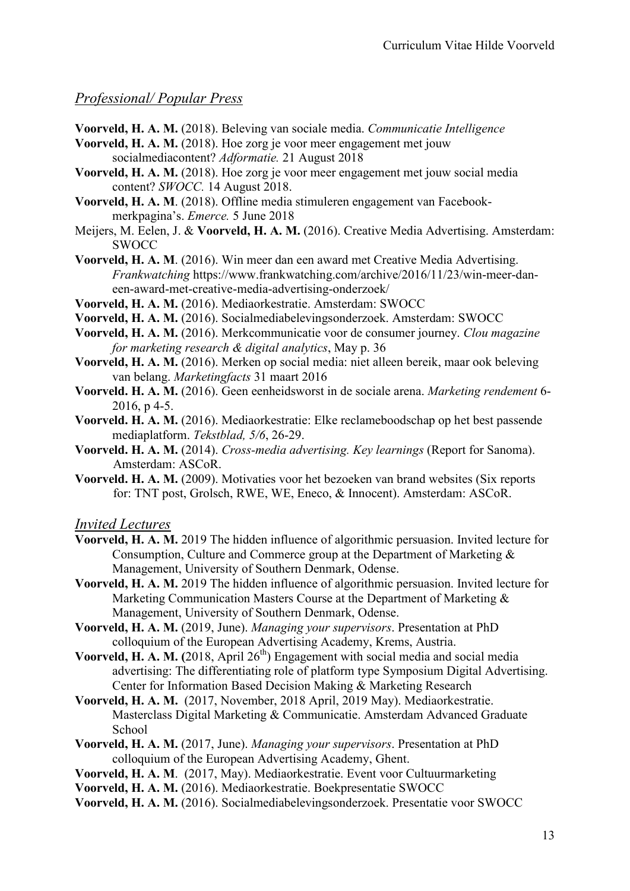#### *Professional/ Popular Press*

- **Voorveld, H. A. M.** (2018). Beleving van sociale media. *Communicatie Intelligence*
- **Voorveld, H. A. M.** (2018). Hoe zorg je voor meer engagement met jouw socialmediacontent? *Adformatie.* 21 August 2018
- **Voorveld, H. A. M.** (2018). Hoe zorg je voor meer engagement met jouw social media content? *SWOCC.* 14 August 2018.
- **Voorveld, H. A. M**. (2018). Offline media stimuleren engagement van Facebookmerkpagina's. *Emerce.* 5 June 2018
- Meijers, M. Eelen, J. & **Voorveld, H. A. M.** (2016). Creative Media Advertising. Amsterdam: **SWOCC**
- **Voorveld, H. A. M**. (2016). Win meer dan een award met Creative Media Advertising. *Frankwatching* [https://www.frankwatching.com/archive/2016/11/23/win-meer-dan](https://www.frankwatching.com/archive/2016/11/23/win-meer-dan-een-award-met-creative-media-advertising-onderzoek/)[een-award-met-creative-media-advertising-onderzoek/](https://www.frankwatching.com/archive/2016/11/23/win-meer-dan-een-award-met-creative-media-advertising-onderzoek/)
- **Voorveld, H. A. M.** (2016). Mediaorkestratie. Amsterdam: SWOCC
- **Voorveld, H. A. M.** (2016). Socialmediabelevingsonderzoek. Amsterdam: SWOCC
- **Voorveld, H. A. M.** (2016). Merkcommunicatie voor de consumer journey. *Clou magazine for marketing research & digital analytics*, May p. 36
- **Voorveld, H. A. M.** (2016). Merken op social media: niet alleen bereik, maar ook beleving van belang. *Marketingfacts* 31 maart 2016
- **Voorveld. H. A. M.** (2016). Geen eenheidsworst in de sociale arena. *Marketing rendement* 6- 2016, p 4-5.
- **Voorveld. H. A. M.** (2016). Mediaorkestratie: Elke reclameboodschap op het best passende mediaplatform. *Tekstblad, 5/6*, 26-29.
- **Voorveld. H. A. M.** (2014). *Cross-media advertising. Key learnings* (Report for Sanoma). Amsterdam: ASCoR.
- **Voorveld. H. A. M.** (2009). Motivaties voor het bezoeken van brand websites (Six reports for: TNT post, Grolsch, RWE, WE, Eneco, & Innocent). Amsterdam: ASCoR.

#### *Invited Lectures*

- **Voorveld, H. A. M.** 2019 The hidden influence of algorithmic persuasion. Invited lecture for Consumption, Culture and Commerce group at the Department of Marketing & Management, University of Southern Denmark, Odense.
- **Voorveld, H. A. M.** 2019 The hidden influence of algorithmic persuasion. Invited lecture for Marketing Communication Masters Course at the Department of Marketing & Management, University of Southern Denmark, Odense.
- **Voorveld, H. A. M.** (2019, June). *Managing your supervisors*. Presentation at PhD colloquium of the European Advertising Academy, Krems, Austria.
- **Voorveld, H. A. M.** (2018, April 26<sup>th</sup>) Engagement with social media and social media advertising: The differentiating role of platform type Symposium Digital Advertising. Center for Information Based Decision Making & Marketing Research
- **Voorveld, H. A. M.** (2017, November, 2018 April, 2019 May). Mediaorkestratie. Masterclass Digital Marketing & Communicatie. Amsterdam Advanced Graduate **School**
- **Voorveld, H. A. M.** (2017, June). *Managing your supervisors*. Presentation at PhD colloquium of the European Advertising Academy, Ghent.
- **Voorveld, H. A. M**. (2017, May). Mediaorkestratie. Event voor Cultuurmarketing
- **Voorveld, H. A. M.** (2016). Mediaorkestratie. Boekpresentatie SWOCC
- **Voorveld, H. A. M.** (2016). Socialmediabelevingsonderzoek. Presentatie voor SWOCC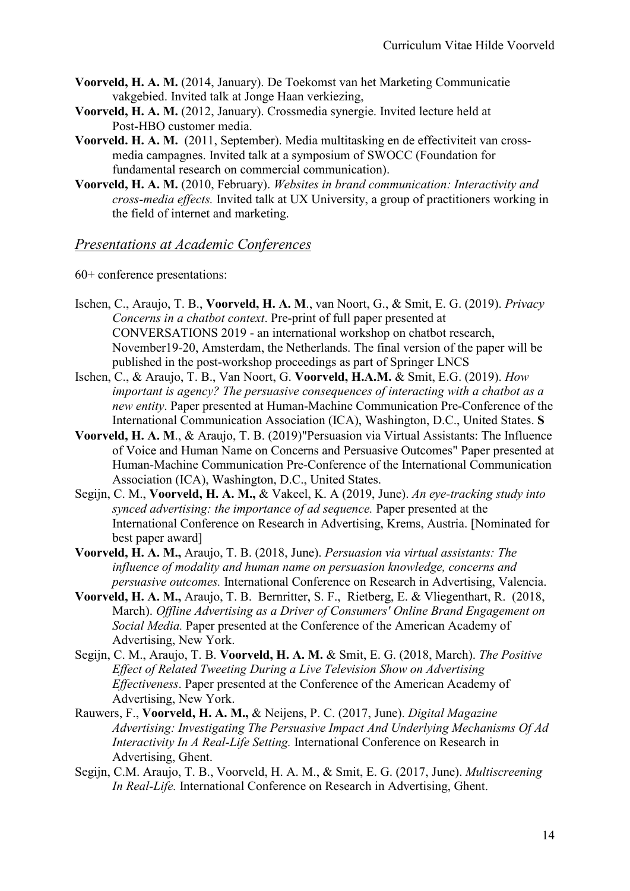- **Voorveld, H. A. M.** (2014, January). De Toekomst van het Marketing Communicatie vakgebied. Invited talk at Jonge Haan verkiezing,
- **Voorveld, H. A. M.** (2012, January). Crossmedia synergie. Invited lecture held at Post-HBO customer media.
- **Voorveld. H. A. M.** (2011, September). Media multitasking en de effectiviteit van crossmedia campagnes. Invited talk at a symposium of SWOCC (Foundation for fundamental research on commercial communication).
- **Voorveld, H. A. M.** (2010, February). *Websites in brand communication: Interactivity and cross-media effects.* Invited talk at UX University, a group of practitioners working in the field of internet and marketing.

#### *Presentations at Academic Conferences*

60+ conference presentations:

- Ischen, C., Araujo, T. B., **Voorveld, H. A. M**., van Noort, G., & Smit, E. G. (2019). *Privacy Concerns in a chatbot context*. Pre-print of full paper presented at CONVERSATIONS 2019 - an international workshop on chatbot research, November19-20, Amsterdam, the Netherlands. The final version of the paper will be published in the post-workshop proceedings as part of Springer LNCS
- Ischen, C., & Araujo, T. B., Van Noort, G. **Voorveld, H.A.M.** & Smit, E.G. (2019). *How important is agency? The persuasive consequences of interacting with a chatbot as a new entity*. Paper presented at Human-Machine Communication Pre-Conference of the International Communication Association (ICA), Washington, D.C., United States. **S**
- **Voorveld, H. A. M**., & Araujo, T. B. (2019)"Persuasion via Virtual Assistants: The Influence of Voice and Human Name on Concerns and Persuasive Outcomes" Paper presented at Human-Machine Communication Pre-Conference of the International Communication Association (ICA), Washington, D.C., United States.
- Segijn, C. M., **Voorveld, H. A. M.,** & Vakeel, K. A (2019, June). *An eye-tracking study into synced advertising: the importance of ad sequence.* Paper presented at the International Conference on Research in Advertising, Krems, Austria. [Nominated for best paper award]
- **Voorveld, H. A. M.,** Araujo, T. B. (2018, June). *Persuasion via virtual assistants: The influence of modality and human name on persuasion knowledge, concerns and persuasive outcomes.* International Conference on Research in Advertising, Valencia.
- **Voorveld, H. A. M.,** Araujo, T. B. Bernritter, S. F., Rietberg, E. & Vliegenthart, R. (2018, March). *Offline Advertising as a Driver of Consumers' Online Brand Engagement on Social Media.* Paper presented at the Conference of the American Academy of Advertising, New York.
- Segijn, C. M., Araujo, T. B. **Voorveld, H. A. M.** & Smit, E. G. (2018, March). *The Positive Effect of Related Tweeting During a Live Television Show on Advertising Effectiveness*. Paper presented at the Conference of the American Academy of Advertising, New York.
- Rauwers, F., **Voorveld, H. A. M.,** & Neijens, P. C. (2017, June). *Digital Magazine Advertising: Investigating The Persuasive Impact And Underlying Mechanisms Of Ad Interactivity In A Real-Life Setting.* International Conference on Research in Advertising, Ghent.
- Segijn, C.M. Araujo, T. B., Voorveld, H. A. M., & Smit, E. G. (2017, June). *Multiscreening In Real-Life.* International Conference on Research in Advertising, Ghent.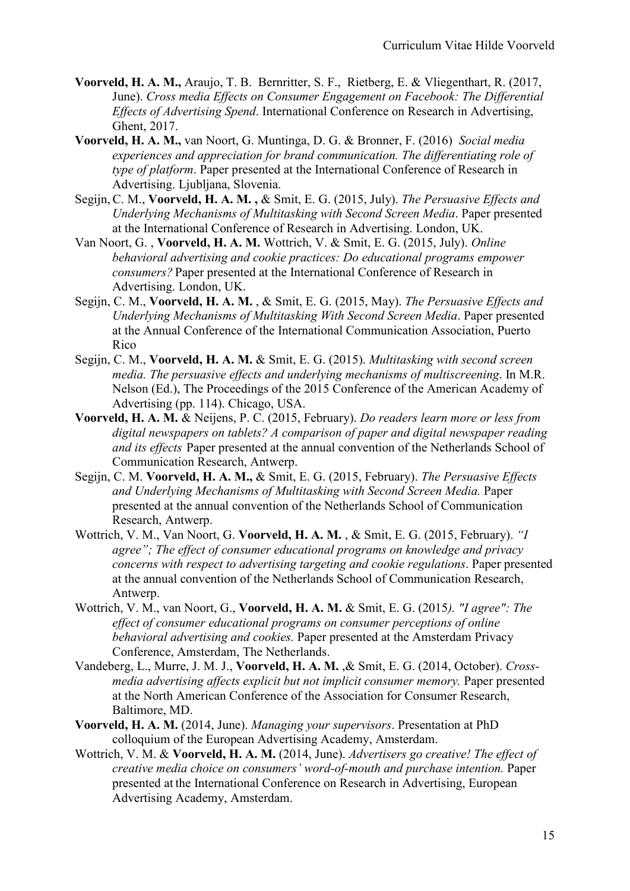- **Voorveld, H. A. M.,** Araujo, T. B. Bernritter, S. F., Rietberg, E. & Vliegenthart, R. (2017, June). *Cross media Effects on Consumer Engagement on Facebook: The Differential Effects of Advertising Spend*. International Conference on Research in Advertising, Ghent, 2017.
- **Voorveld, H. A. M.,** van Noort, G. Muntinga, D. G. & Bronner, F. (2016) *Social media experiences and appreciation for brand communication. The differentiating role of type of platform*. Paper presented at the International Conference of Research in Advertising. Ljubljana, Slovenia.
- Segijn, C. M., **Voorveld, H. A. M. ,** & Smit, E. G. (2015, July). *The Persuasive Effects and Underlying Mechanisms of Multitasking with Second Screen Media*. Paper presented at the International Conference of Research in Advertising. London, UK.
- Van Noort, G. , **Voorveld, H. A. M.** Wottrich, V. & Smit, E. G. (2015, July). *Online behavioral advertising and cookie practices: Do educational programs empower consumers?* Paper presented at the International Conference of Research in Advertising. London, UK.
- Segijn, C. M., **Voorveld, H. A. M.** , & Smit, E. G. (2015, May). *The Persuasive Effects and Underlying Mechanisms of Multitasking With Second Screen Media*. Paper presented at the Annual Conference of the International Communication Association, Puerto Rico
- Segijn, C. M., **Voorveld, H. A. M.** & Smit, E. G. (2015). *Multitasking with second screen media. The persuasive effects and underlying mechanisms of multiscreening*. In M.R. Nelson (Ed.), The Proceedings of the 2015 Conference of the American Academy of Advertising (pp. 114). Chicago, USA.
- **Voorveld, H. A. M.** & Neijens, P. C. (2015, February). *Do readers learn more or less from digital newspapers on tablets? A comparison of paper and digital newspaper reading and its effects* Paper presented at the annual convention of the Netherlands School of Communication Research, Antwerp.
- Segijn, C. M. **Voorveld, H. A. M.,** & Smit, E. G. (2015, February). *The Persuasive Effects and Underlying Mechanisms of Multitasking with Second Screen Media.* Paper presented at the annual convention of the Netherlands School of Communication Research, Antwerp.
- Wottrich, V. M., Van Noort, G. **Voorveld, H. A. M.** , & Smit, E. G. (2015, February). *"I agree"; The effect of consumer educational programs on knowledge and privacy concerns with respect to advertising targeting and cookie regulations*. Paper presented at the annual convention of the Netherlands School of Communication Research, Antwerp.
- Wottrich, V. M., van Noort, G., **Voorveld, H. A. M.** & Smit, E. G. (2015*). "I agree": The effect of consumer educational programs on consumer perceptions of online behavioral advertising and cookies.* Paper presented at the Amsterdam Privacy Conference, Amsterdam, The Netherlands.
- Vandeberg, L., Murre, J. M. J., **Voorveld, H. A. M.** ,& Smit, E. G. (2014, October). *Crossmedia advertising affects explicit but not implicit consumer memory.* Paper presented at the North American Conference of the Association for Consumer Research, Baltimore, MD.
- **Voorveld, H. A. M.** (2014, June). *Managing your supervisors*. Presentation at PhD colloquium of the European Advertising Academy, Amsterdam.
- Wottrich, V. M. & **Voorveld, H. A. M.** (2014, June). *Advertisers go creative! The effect of creative media choice on consumers' word-of-mouth and purchase intention.* Paper presented at the International Conference on Research in Advertising, European Advertising Academy, Amsterdam.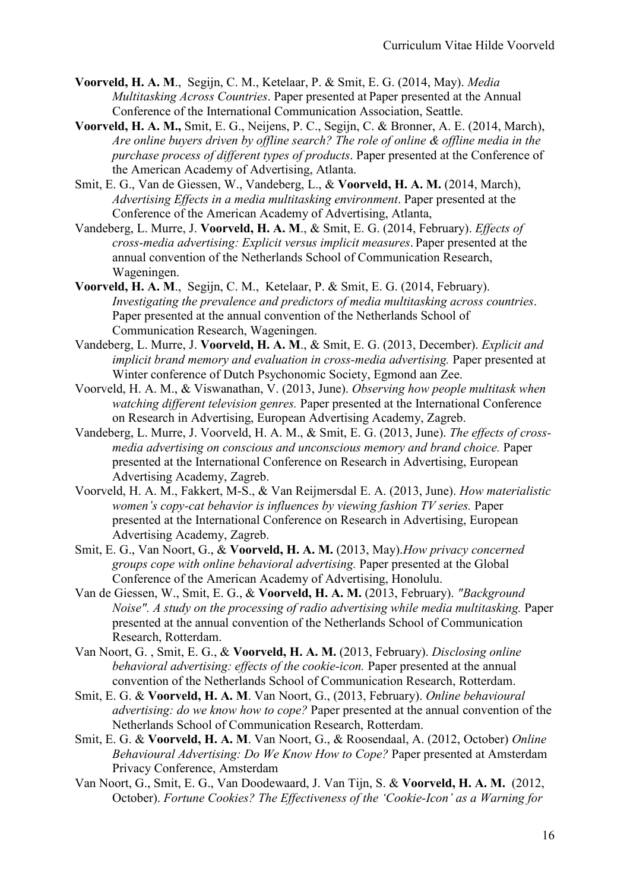- **Voorveld, H. A. M**., Segijn, C. M., Ketelaar, P. & Smit, E. G. (2014, May). *Media Multitasking Across Countries*. Paper presented at Paper presented at the Annual Conference of the International Communication Association, Seattle.
- **Voorveld, H. A. M.,** Smit, E. G., Neijens, P. C., Segijn, C. & Bronner, A. E. (2014, March), *Are online buyers driven by offline search? The role of online & offline media in the purchase process of different types of products*. Paper presented at the Conference of the American Academy of Advertising, Atlanta.
- Smit, E. G., Van de Giessen, W., Vandeberg, L., & **Voorveld, H. A. M.** (2014, March), *Advertising Effects in a media multitasking environment*. Paper presented at the Conference of the American Academy of Advertising, Atlanta,
- Vandeberg, L. Murre, J. **Voorveld, H. A. M**., & Smit, E. G. (2014, February). *Effects of cross-media advertising: Explicit versus implicit measures*. Paper presented at the annual convention of the Netherlands School of Communication Research, Wageningen.
- **Voorveld, H. A. M**., Segijn, C. M., Ketelaar, P. & Smit, E. G. (2014, February). *Investigating the prevalence and predictors of media multitasking across countries*. Paper presented at the annual convention of the Netherlands School of Communication Research, Wageningen.
- Vandeberg, L. Murre, J. **Voorveld, H. A. M**., & Smit, E. G. (2013, December). *Explicit and implicit brand memory and evaluation in cross-media advertising.* Paper presented at Winter conference of Dutch Psychonomic Society, Egmond aan Zee.
- Voorveld, H. A. M., & Viswanathan, V. (2013, June). *Observing how people multitask when watching different television genres.* Paper presented at the International Conference on Research in Advertising, European Advertising Academy, Zagreb.
- Vandeberg, L. Murre, J. Voorveld, H. A. M., & Smit, E. G. (2013, June). *The effects of crossmedia advertising on conscious and unconscious memory and brand choice.* Paper presented at the International Conference on Research in Advertising, European Advertising Academy, Zagreb.
- Voorveld, H. A. M., Fakkert, M-S., & Van Reijmersdal E. A. (2013, June). *How materialistic women's copy-cat behavior is influences by viewing fashion TV series.* Paper presented at the International Conference on Research in Advertising, European Advertising Academy, Zagreb.
- Smit, E. G., Van Noort, G., & **Voorveld, H. A. M.** (2013, May).*How privacy concerned groups cope with online behavioral advertising.* Paper presented at the Global Conference of the American Academy of Advertising, Honolulu.
- Van de Giessen, W., Smit, E. G., & **Voorveld, H. A. M.** (2013, February). *"Background Noise". A study on the processing of radio advertising while media multitasking.* Paper presented at the annual convention of the Netherlands School of Communication Research, Rotterdam.
- Van Noort, G. , Smit, E. G., & **Voorveld, H. A. M.** (2013, February). *Disclosing online behavioral advertising: effects of the cookie-icon.* Paper presented at the annual convention of the Netherlands School of Communication Research, Rotterdam.
- Smit, E. G. & **Voorveld, H. A. M**. Van Noort, G., (2013, February). *Online behavioural advertising: do we know how to cope?* Paper presented at the annual convention of the Netherlands School of Communication Research, Rotterdam.
- Smit, E. G. & **Voorveld, H. A. M**. Van Noort, G., & Roosendaal, A. (2012, October) *Online Behavioural Advertising: Do We Know How to Cope?* Paper presented at Amsterdam Privacy Conference, Amsterdam
- Van Noort, G., Smit, E. G., Van Doodewaard, J. Van Tijn, S. & **Voorveld, H. A. M.** (2012, October). *Fortune Cookies? The Effectiveness of the 'Cookie-Icon' as a Warning for*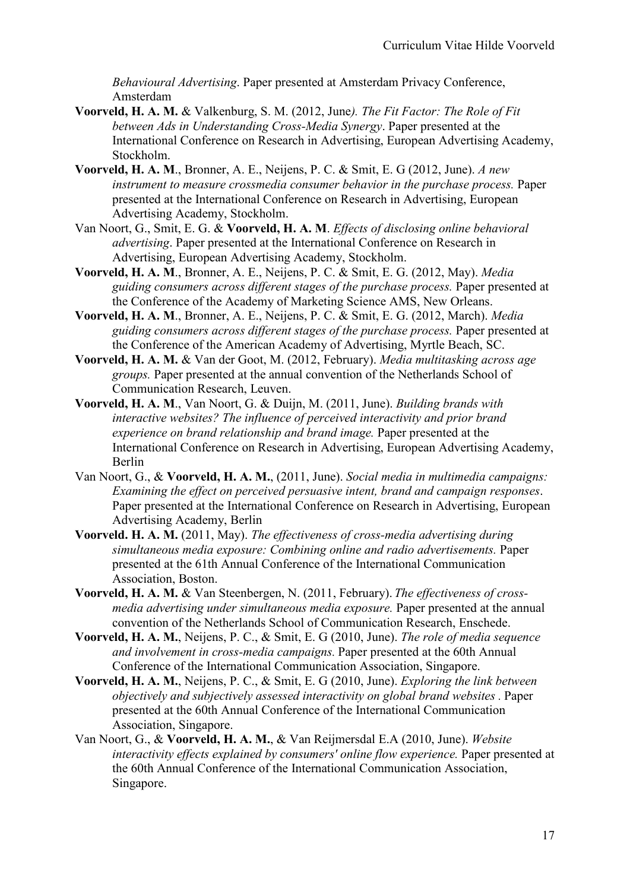*Behavioural Advertising*. Paper presented at Amsterdam Privacy Conference, Amsterdam

- **Voorveld, H. A. M.** & Valkenburg, S. M. (2012, June*). The Fit Factor: The Role of Fit between Ads in Understanding Cross-Media Synergy*. Paper presented at the International Conference on Research in Advertising, European Advertising Academy, Stockholm.
- **Voorveld, H. A. M**., Bronner, A. E., Neijens, P. C. & Smit, E. G (2012, June). *A new instrument to measure crossmedia consumer behavior in the purchase process.* Paper presented at the International Conference on Research in Advertising, European Advertising Academy, Stockholm.
- Van Noort, G., Smit, E. G. & **Voorveld, H. A. M**. *Effects of disclosing online behavioral advertising*. Paper presented at the International Conference on Research in Advertising, European Advertising Academy, Stockholm.
- **Voorveld, H. A. M**., Bronner, A. E., Neijens, P. C. & Smit, E. G. (2012, May). *Media guiding consumers across different stages of the purchase process.* Paper presented at the Conference of the Academy of Marketing Science AMS, New Orleans.
- **Voorveld, H. A. M**., Bronner, A. E., Neijens, P. C. & Smit, E. G. (2012, March). *Media guiding consumers across different stages of the purchase process.* Paper presented at the Conference of the American Academy of Advertising, Myrtle Beach, SC.
- **Voorveld, H. A. M.** & Van der Goot, M. (2012, February). *Media multitasking across age groups.* Paper presented at the annual convention of the Netherlands School of Communication Research, Leuven.
- **Voorveld, H. A. M**., Van Noort, G. & Duijn, M. (2011, June). *Building brands with interactive websites? The influence of perceived interactivity and prior brand experience on brand relationship and brand image.* Paper presented at the International Conference on Research in Advertising, European Advertising Academy, Berlin
- Van Noort, G., & **Voorveld, H. A. M.**, (2011, June). *Social media in multimedia campaigns: Examining the effect on perceived persuasive intent, brand and campaign responses*. Paper presented at the International Conference on Research in Advertising, European Advertising Academy, Berlin
- **Voorveld. H. A. M.** (2011, May). *The effectiveness of cross-media advertising during simultaneous media exposure: Combining online and radio advertisements.* Paper presented at the 61th Annual Conference of the International Communication Association, Boston.
- **Voorveld, H. A. M.** & Van Steenbergen, N. (2011, February). *The effectiveness of crossmedia advertising under simultaneous media exposure.* Paper presented at the annual convention of the Netherlands School of Communication Research, Enschede.
- **Voorveld, H. A. M.**, Neijens, P. C., & Smit, E. G (2010, June). *The role of media sequence and involvement in cross-media campaigns.* Paper presented at the 60th Annual Conference of the International Communication Association, Singapore.
- **Voorveld, H. A. M.**, Neijens, P. C., & Smit, E. G (2010, June). *Exploring the link between objectively and subjectively assessed interactivity on global brand websites .* Paper presented at the 60th Annual Conference of the International Communication Association, Singapore.
- Van Noort, G., & **Voorveld, H. A. M.**, & Van Reijmersdal E.A (2010, June). *Website interactivity effects explained by consumers' online flow experience.* Paper presented at the 60th Annual Conference of the International Communication Association, Singapore.